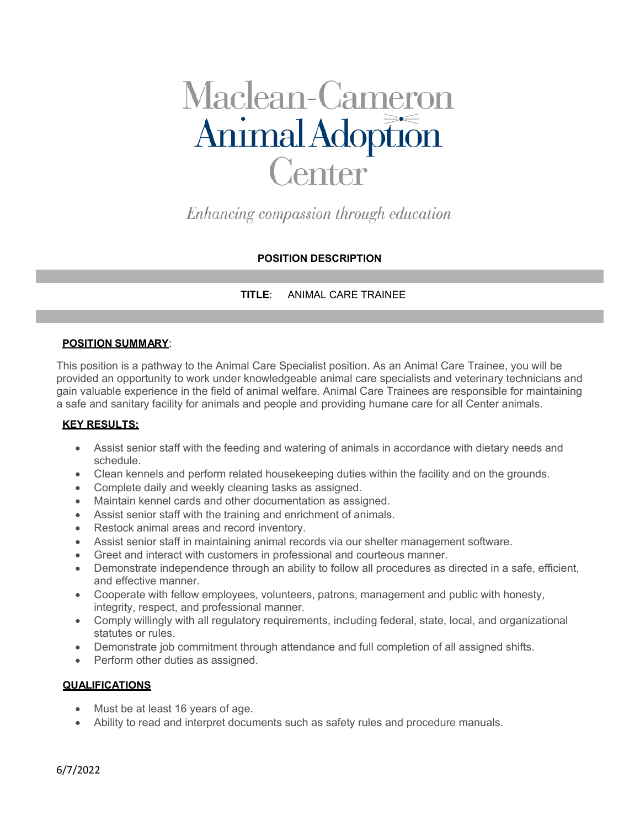# Maclean-Cameron<br>Animal Adoption **Center**

Enhancing compassion through education

# **POSITION DESCRIPTION**

## **TITLE**: ANIMAL CARE TRAINEE

#### **POSITION SUMMARY**:

This position is a pathway to the Animal Care Specialist position. As an Animal Care Trainee, you will be provided an opportunity to work under knowledgeable animal care specialists and veterinary technicians and gain valuable experience in the field of animal welfare. Animal Care Trainees are responsible for maintaining a safe and sanitary facility for animals and people and providing humane care for all Center animals.

### **KEY RESULTS:**

- Assist senior staff with the feeding and watering of animals in accordance with dietary needs and schedule.
- Clean kennels and perform related housekeeping duties within the facility and on the grounds.
- Complete daily and weekly cleaning tasks as assigned.
- Maintain kennel cards and other documentation as assigned.
- Assist senior staff with the training and enrichment of animals.
- Restock animal areas and record inventory.
- Assist senior staff in maintaining animal records via our shelter management software.
- Greet and interact with customers in professional and courteous manner.
- Demonstrate independence through an ability to follow all procedures as directed in a safe, efficient, and effective manner.
- Cooperate with fellow employees, volunteers, patrons, management and public with honesty, integrity, respect, and professional manner.
- Comply willingly with all regulatory requirements, including federal, state, local, and organizational statutes or rules.
- Demonstrate job commitment through attendance and full completion of all assigned shifts.
- Perform other duties as assigned.

#### **QUALIFICATIONS**

- Must be at least 16 years of age.
- Ability to read and interpret documents such as safety rules and procedure manuals.